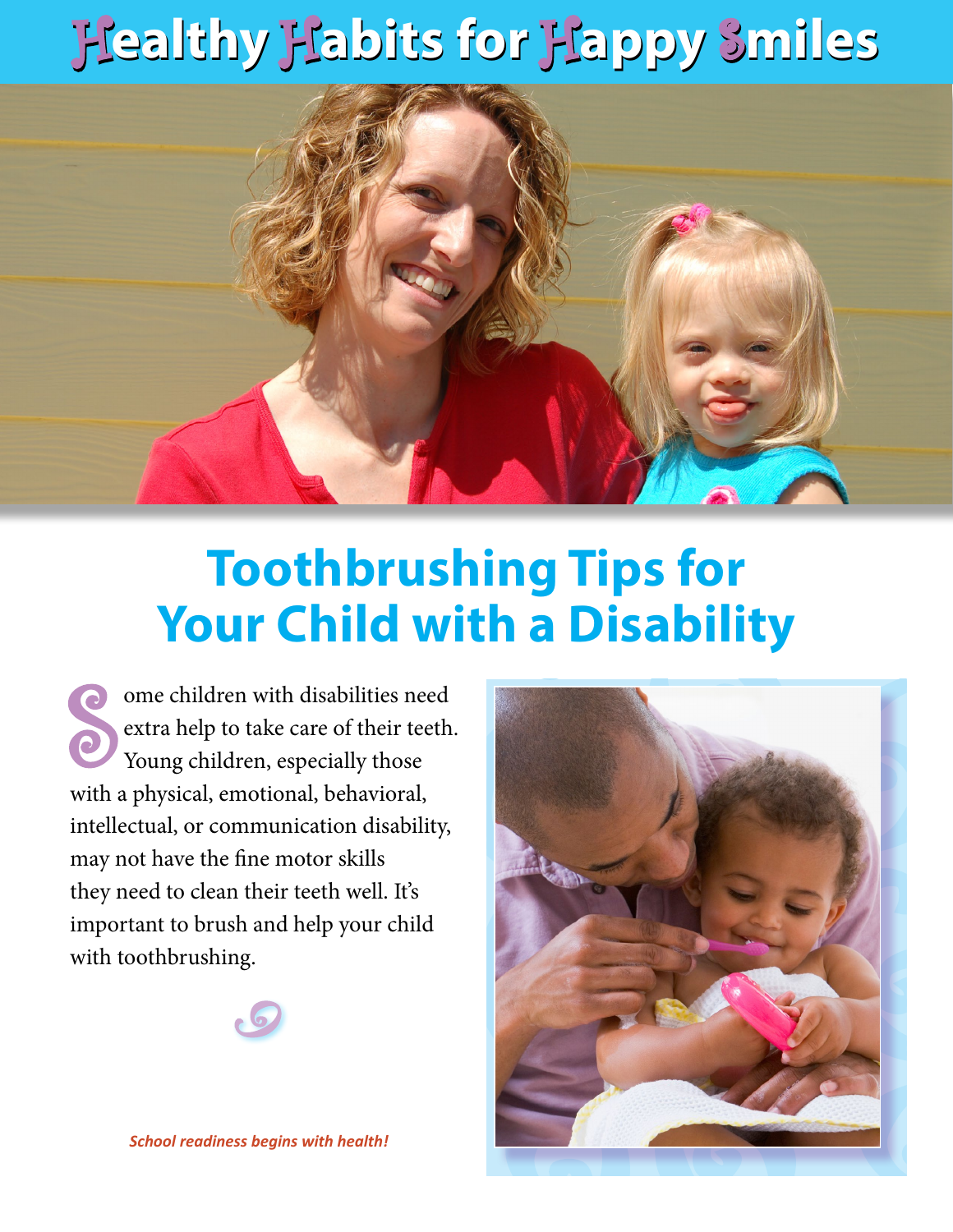## H**ealthy** H**abits for** H**appy** S**miles** H**ealthy** H**abits for** H**appy** S**miles**



## **Toothbrushing Tips for Your Child with a Disability**

**S** ome children with disabilities need extra help to take care of their teeth. Young children, especially those with a physical, emotional, behavioral, intellectual, or communication disability, may not have the fine motor skills they need to clean their teeth well. It's important to brush and help your child with toothbrushing.





*School readiness begins with health!*